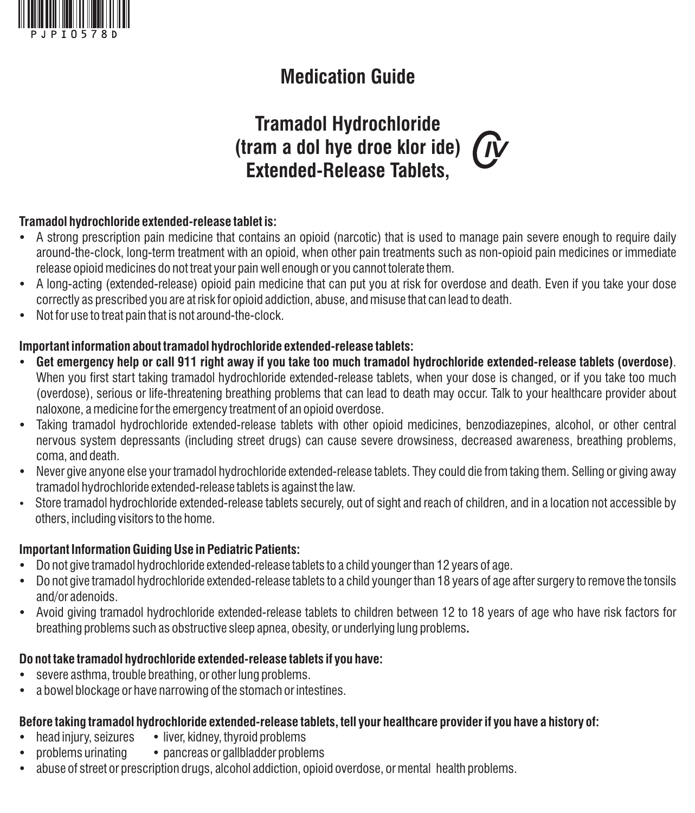

# **Medication Guide**

# **Tramadol Hydrochloride (tram a dol hye droe klor ide)**  *IV***Extended-Release Tablets,**

## **Tramadol hydrochloride extended-release tablet is:**

- A strong prescription pain medicine that contains an opioid (narcotic) that is used to manage pain severe enough to require daily around-the-clock, long-term treatment with an opioid, when other pain treatments such as non-opioid pain medicines or immediate release opioid medicines do not treat your pain well enough or you cannot tolerate them.
- A long-acting (extended-release) opioid pain medicine that can put you at risk for overdose and death. Even if you take your dose correctly as prescribed you are at risk for opioid addiction, abuse, and misuse that can lead to death.
- Not for use to treat pain that is not around-the-clock.

#### **Important information about tramadol hydrochloride extended-release tablets:**

- Ÿ **Get emergency help or call 911 right away if you take too much tramadol hydrochloride extended-release tablets (overdose)**. When you first start taking tramadol hydrochloride extended-release tablets, when your dose is changed, or if you take too much (overdose), serious or life-threatening breathing problems that can lead to death may occur. Talk to your healthcare provider about naloxone, a medicine for the emergency treatment of an opioid overdose.
- Taking tramadol hydrochloride extended-release tablets with other opioid medicines, benzodiazepines, alcohol, or other central nervous system depressants (including street drugs) can cause severe drowsiness, decreased awareness, breathing problems, coma, and death.
- Never give anyone else your tramadol hydrochloride extended-release tablets. They could die from taking them. Selling or giving away tramadol hydrochloride extended-release tablets is against the law.
- Store tramadol hydrochloride extended-release tablets securely, out of sight and reach of children, and in a location not accessible by others, including visitors to the home.

#### **Important Information Guiding Use in Pediatric Patients:**

- Do not give tramadol hydrochloride extended-release tablets to a child younger than 12 years of age.
- Do not give tramadol hydrochloride extended-release tablets to a child younger than 18 years of age after surgery to remove the tonsils and/or adenoids.
- Avoid giving tramadol hydrochloride extended-release tablets to children between 12 to 18 years of age who have risk factors for breathing problems such as obstructive sleep apnea, obesity, or underlying lung problems**.**

## **Do not take tramadol hydrochloride extended-release tablets if you have:**

- severe asthma, trouble breathing, or other lung problems.
- a bowel blockage or have narrowing of the stomach or intestines.

## **Before taking tramadol hydrochloride extended-release tablets, tell your healthcare provider if you have a history of:**

- head injury, seizures liver, kidney, thyroid problems
- problems urinating pancreas or gallbladder problems
- $\bullet$  abuse of street or prescription drugs, alcohol addiction, opioid overdose, or mental health problems.